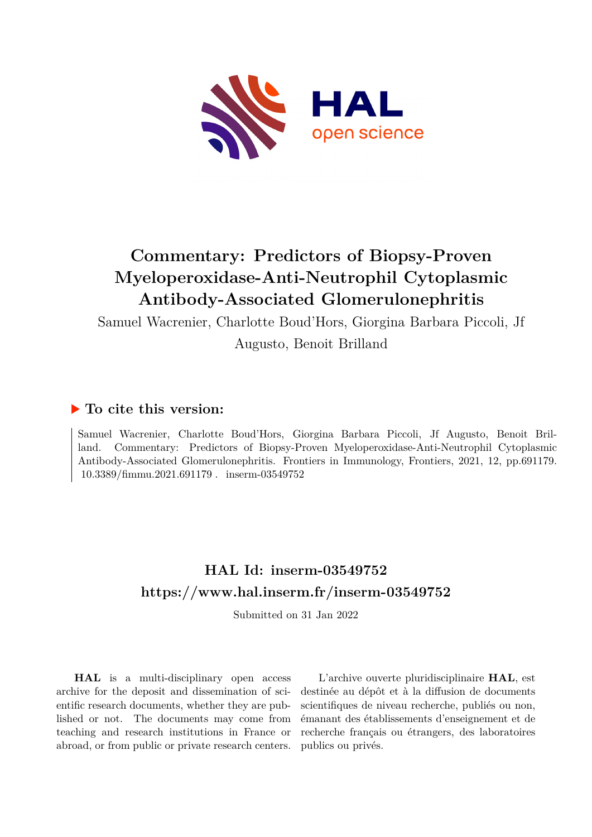

# **Commentary: Predictors of Biopsy-Proven Myeloperoxidase-Anti-Neutrophil Cytoplasmic Antibody-Associated Glomerulonephritis**

Samuel Wacrenier, Charlotte Boud'Hors, Giorgina Barbara Piccoli, Jf

Augusto, Benoit Brilland

## **To cite this version:**

Samuel Wacrenier, Charlotte Boud'Hors, Giorgina Barbara Piccoli, Jf Augusto, Benoit Brilland. Commentary: Predictors of Biopsy-Proven Myeloperoxidase-Anti-Neutrophil Cytoplasmic Antibody-Associated Glomerulonephritis. Frontiers in Immunology, Frontiers, 2021, 12, pp.691179.  $10.3389/fimmu.2021.691179$ . inserm-03549752

## **HAL Id: inserm-03549752 <https://www.hal.inserm.fr/inserm-03549752>**

Submitted on 31 Jan 2022

**HAL** is a multi-disciplinary open access archive for the deposit and dissemination of scientific research documents, whether they are published or not. The documents may come from teaching and research institutions in France or abroad, or from public or private research centers.

L'archive ouverte pluridisciplinaire **HAL**, est destinée au dépôt et à la diffusion de documents scientifiques de niveau recherche, publiés ou non, émanant des établissements d'enseignement et de recherche français ou étrangers, des laboratoires publics ou privés.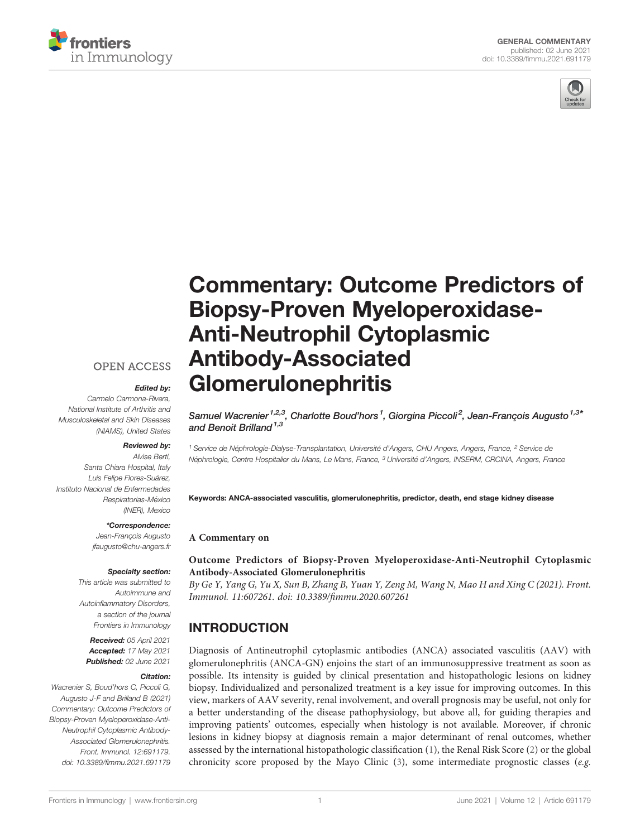



# [Commentary: Outcome Predictors of](https://www.frontiersin.org/articles/10.3389/fimmu.2021.691179/full) [Biopsy-Proven Myeloperoxidase-](https://www.frontiersin.org/articles/10.3389/fimmu.2021.691179/full)[Anti-Neutrophil Cytoplasmic](https://www.frontiersin.org/articles/10.3389/fimmu.2021.691179/full) [Antibody-Associated](https://www.frontiersin.org/articles/10.3389/fimmu.2021.691179/full) [Glomerulonephritis](https://www.frontiersin.org/articles/10.3389/fimmu.2021.691179/full)

**OPEN ACCESS** 

#### Edited by:

Carmelo Carmona-Rivera, National Institute of Arthritis and Musculoskeletal and Skin Diseases (NIAMS), United States

#### Reviewed by:

Alvise Berti, Santa Chiara Hospital, Italy Luis Felipe Flores-Suárez, Instituto Nacional de Enfermedades Respiratorias-México (INER), Mexico

#### \*Correspondence:

Jean-Francois Augusto [jfaugusto@chu-angers.fr](mailto:jfaugusto@chu-angers.fr)

#### Specialty section:

This article was submitted to Autoimmune and Autoinflammatory Disorders, a section of the journal Frontiers in Immunology

Received: 05 April 2021 Accepted: 17 May 2021 Published: 02 June 2021

#### Citation:

Wacrenier S, Boud'hors C, Piccoli G, Augusto J-F and Brilland B (2021) Commentary: Outcome Predictors of Biopsy-Proven Myeloperoxidase-Anti-Neutrophil Cytoplasmic Antibody-Associated Glomerulonephritis. Front. Immunol. 12:691179. [doi: 10.3389/fimmu.2021.691179](https://doi.org/10.3389/fimmu.2021.691179)

Samuel Wacrenier<sup>1,2,3</sup>, Charlotte Boud'hors<sup>1</sup>, Giorgina Piccoli<sup>2</sup>, Jean-François Augusto<sup>1,3\*</sup> and Benoit Brilland<sup> $1,3$ </sup>

<sup>1</sup> Service de Néphrologie-Dialyse-Transplantation, Université d'Angers, CHU Angers, Angers, France, <sup>2</sup> Service de Néphrologie, Centre Hospitalier du Mans, Le Mans, France, <sup>3</sup> Université d'Angers, INSERM, CRCINA, Angers, France

Keywords: ANCA-associated vasculitis, glomerulonephritis, predictor, death, end stage kidney disease

#### A Commentary on

[Outcome Predictors of Biopsy-Proven Myeloperoxidase-Anti-Neutrophil Cytoplasmic](https://www.frontiersin.org/articles/10.3389/fimmu.2020.607261/full) [Antibody-Associated Glomerulonephritis](https://www.frontiersin.org/articles/10.3389/fimmu.2020.607261/full)

By Ge Y, Yang G, Yu X, Sun B, Zhang B, Yuan Y, Zeng M, Wang N, Mao H and Xing C (2021). Front. Immunol. 11:607261. doi: 10.3389/fi[mmu.2020.607261](https://doi.org/10.3389/fimmu.2020.607261)

## INTRODUCTION

Diagnosis of Antineutrophil cytoplasmic antibodies (ANCA) associated vasculitis (AAV) with glomerulonephritis (ANCA-GN) enjoins the start of an immunosuppressive treatment as soon as possible. Its intensity is guided by clinical presentation and histopathologic lesions on kidney biopsy. Individualized and personalized treatment is a key issue for improving outcomes. In this view, markers of AAV severity, renal involvement, and overall prognosis may be useful, not only for a better understanding of the disease pathophysiology, but above all, for guiding therapies and improving patients' outcomes, especially when histology is not available. Moreover, if chronic lesions in kidney biopsy at diagnosis remain a major determinant of renal outcomes, whether assessed by the international histopathologic classification (1), the Renal Risk Score (2) or the global chronicity score proposed by the Mayo Clinic (3), some intermediate prognostic classes (e.g.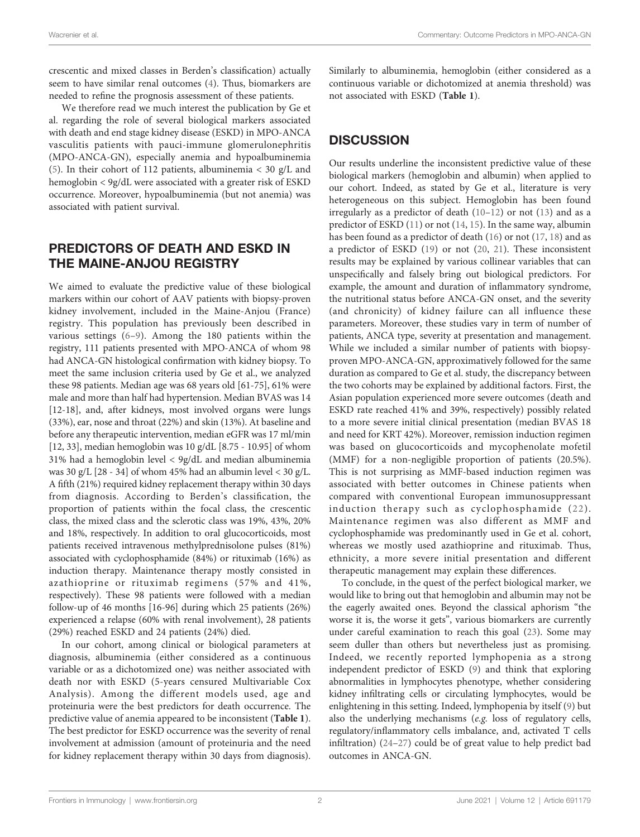crescentic and mixed classes in Berden's classification) actually seem to have similar renal outcomes (4). Thus, biomarkers are needed to refine the prognosis assessment of these patients.

We therefore read we much interest the publication by Ge et al. regarding the role of several biological markers associated with death and end stage kidney disease (ESKD) in MPO-ANCA vasculitis patients with pauci-immune glomerulonephritis (MPO-ANCA-GN), especially anemia and hypoalbuminemia (5). In their cohort of 112 patients, albuminemia < 30 g/L and hemoglobin < 9g/dL were associated with a greater risk of ESKD occurrence. Moreover, hypoalbuminemia (but not anemia) was associated with patient survival.

## PREDICTORS OF DEATH AND ESKD IN THE MAINE-ANJOU REGISTRY

We aimed to evaluate the predictive value of these biological markers within our cohort of AAV patients with biopsy-proven kidney involvement, included in the Maine-Anjou (France) registry. This population has previously been described in various settings (6–9). Among the 180 patients within the registry, 111 patients presented with MPO-ANCA of whom 98 had ANCA-GN histological confirmation with kidney biopsy. To meet the same inclusion criteria used by Ge et al., we analyzed these 98 patients. Median age was 68 years old [61-75], 61% were male and more than half had hypertension. Median BVAS was 14 [12-18], and, after kidneys, most involved organs were lungs (33%), ear, nose and throat (22%) and skin (13%). At baseline and before any therapeutic intervention, median eGFR was 17 ml/min [12, 33], median hemoglobin was 10 g/dL [8.75 - 10.95] of whom 31% had a hemoglobin level < 9g/dL and median albuminemia was 30 g/L [28 - 34] of whom 45% had an albumin level < 30 g/L. A fifth (21%) required kidney replacement therapy within 30 days from diagnosis. According to Berden's classification, the proportion of patients within the focal class, the crescentic class, the mixed class and the sclerotic class was 19%, 43%, 20% and 18%, respectively. In addition to oral glucocorticoids, most patients received intravenous methylprednisolone pulses (81%) associated with cyclophosphamide (84%) or rituximab (16%) as induction therapy. Maintenance therapy mostly consisted in azathioprine or rituximab regimens (57% and 41%, respectively). These 98 patients were followed with a median follow-up of 46 months [16-96] during which 25 patients (26%) experienced a relapse (60% with renal involvement), 28 patients (29%) reached ESKD and 24 patients (24%) died.

In our cohort, among clinical or biological parameters at diagnosis, albuminemia (either considered as a continuous variable or as a dichotomized one) was neither associated with death nor with ESKD (5-years censured Multivariable Cox Analysis). Among the different models used, age and proteinuria were the best predictors for death occurrence. The predictive value of anemia appeared to be inconsistent (Table 1). The best predictor for ESKD occurrence was the severity of renal involvement at admission (amount of proteinuria and the need for kidney replacement therapy within 30 days from diagnosis). Similarly to albuminemia, hemoglobin (either considered as a continuous variable or dichotomized at anemia threshold) was not associated with ESKD (Table 1).

## **DISCUSSION**

Our results underline the inconsistent predictive value of these biological markers (hemoglobin and albumin) when applied to our cohort. Indeed, as stated by Ge et al., literature is very heterogeneous on this subject. Hemoglobin has been found irregularly as a predictor of death (10–12) or not (13) and as a predictor of ESKD (11) or not (14, 15). In the same way, albumin has been found as a predictor of death (16) or not (17, 18) and as a predictor of ESKD (19) or not (20, 21). These inconsistent results may be explained by various collinear variables that can unspecifically and falsely bring out biological predictors. For example, the amount and duration of inflammatory syndrome, the nutritional status before ANCA-GN onset, and the severity (and chronicity) of kidney failure can all influence these parameters. Moreover, these studies vary in term of number of patients, ANCA type, severity at presentation and management. While we included a similar number of patients with biopsyproven MPO-ANCA-GN, approximatively followed for the same duration as compared to Ge et al. study, the discrepancy between the two cohorts may be explained by additional factors. First, the Asian population experienced more severe outcomes (death and ESKD rate reached 41% and 39%, respectively) possibly related to a more severe initial clinical presentation (median BVAS 18 and need for KRT 42%). Moreover, remission induction regimen was based on glucocorticoids and mycophenolate mofetil (MMF) for a non-negligible proportion of patients (20.5%). This is not surprising as MMF-based induction regimen was associated with better outcomes in Chinese patients when compared with conventional European immunosuppressant induction therapy such as cyclophosphamide (22). Maintenance regimen was also different as MMF and cyclophosphamide was predominantly used in Ge et al. cohort, whereas we mostly used azathioprine and rituximab. Thus, ethnicity, a more severe initial presentation and different therapeutic management may explain these differences.

To conclude, in the quest of the perfect biological marker, we would like to bring out that hemoglobin and albumin may not be the eagerly awaited ones. Beyond the classical aphorism "the worse it is, the worse it gets", various biomarkers are currently under careful examination to reach this goal (23). Some may seem duller than others but nevertheless just as promising. Indeed, we recently reported lymphopenia as a strong independent predictor of ESKD (9) and think that exploring abnormalities in lymphocytes phenotype, whether considering kidney infiltrating cells or circulating lymphocytes, would be enlightening in this setting. Indeed, lymphopenia by itself (9) but also the underlying mechanisms (e.g. loss of regulatory cells, regulatory/inflammatory cells imbalance, and, activated T cells infiltration) (24–27) could be of great value to help predict bad outcomes in ANCA-GN.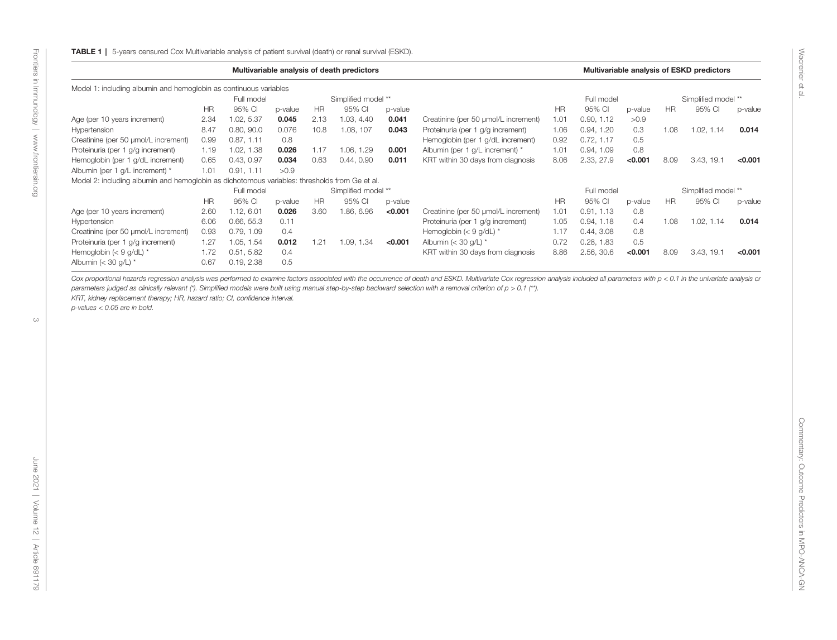|                                                                                               | Multivariable analysis of death predictors |            |         |           |                     |         |                                      |            | Multivariable analysis of ESKD predictors |         |           |                     |         |  |
|-----------------------------------------------------------------------------------------------|--------------------------------------------|------------|---------|-----------|---------------------|---------|--------------------------------------|------------|-------------------------------------------|---------|-----------|---------------------|---------|--|
| Model 1: including albumin and hemoglobin as continuous variables                             |                                            |            |         |           |                     |         |                                      |            |                                           |         |           |                     |         |  |
|                                                                                               |                                            | Full model |         |           | Simplified model ** |         |                                      | Full model |                                           |         |           | Simplified model ** |         |  |
|                                                                                               | <b>HR</b>                                  | 95% CI     | p-value | <b>HR</b> | 95% CI              | p-value |                                      | <b>HR</b>  | 95% CI                                    | p-value | <b>HR</b> | 95% CI              | p-value |  |
| Age (per 10 years increment)                                                                  | 2.34                                       | 1.02, 5.37 | 0.045   | 2.13      | 1.03, 4.40          | 0.041   | Creatinine (per 50 umol/L increment) | 1.01       | 0.90, 1.12                                | >0.9    |           |                     |         |  |
| Hypertension                                                                                  | 8.47                                       | 0.80, 90.0 | 0.076   | 10.8      | 1.08, 107           | 0.043   | Proteinuria (per 1 g/g increment)    | 1.06       | 0.94, 1.20                                | 0.3     | 1.08      | 1.02, 1.14          | 0.014   |  |
| Creatinine (per 50 umol/L increment)                                                          | 0.99                                       | 0.87, 1.11 | 0.8     |           |                     |         | Hemoglobin (per 1 g/dL increment)    | 0.92       | 0.72, 1.17                                | 0.5     |           |                     |         |  |
| Proteinuria (per 1 g/g increment)                                                             | 1.19                                       | 1.02, 1.38 | 0.026   | 1.17      | 1.06, 1.29          | 0.001   | Albumin (per 1 g/L increment) *      | 1.01       | 0.94, 1.09                                | 0.8     |           |                     |         |  |
| Hemoglobin (per 1 g/dL increment)                                                             | 0.65                                       | 0.43, 0.97 | 0.034   | 0.63      | 0.44, 0.90          | 0.011   | KRT within 30 days from diagnosis    | 8.06       | 2.33, 27.9                                | < 0.001 | 8.09      | 3.43, 19.1          | < 0.001 |  |
| Albumin (per 1 g/L increment) *                                                               | 1.01                                       | 0.91, 1.11 | >0.9    |           |                     |         |                                      |            |                                           |         |           |                     |         |  |
| Model 2: including albumin and hemoglobin as dichotomous variables: thresholds from Ge et al. |                                            |            |         |           |                     |         |                                      |            |                                           |         |           |                     |         |  |
|                                                                                               |                                            | Full model |         |           | Simplified model ** |         |                                      |            | Full model                                |         |           | Simplified model ** |         |  |
|                                                                                               | <b>HR</b>                                  | 95% CI     | p-value | <b>HR</b> | 95% CI              | p-value |                                      | <b>HR</b>  | 95% CI                                    | p-value | <b>HR</b> | 95% CI              | p-value |  |
| Age (per 10 years increment)                                                                  | 2.60                                       | 1.12, 6.01 | 0.026   | 3.60      | 1.86, 6.96          | < 0.001 | Creatinine (per 50 umol/L increment) | 1.01       | 0.91, 1.13                                | 0.8     |           |                     |         |  |
| Hypertension                                                                                  | 6.06                                       | 0.66, 55.3 | 0.11    |           |                     |         | Proteinuria (per 1 g/g increment)    | 1.05       | 0.94, 1.18                                | 0.4     | 1.08      | 1.02, 1.14          | 0.014   |  |
| Creatinine (per 50 umol/L increment)                                                          | 0.93                                       | 0.79, 1.09 | 0.4     |           |                     |         | Hemoglobin $(< 9$ g/dL) *            | 1.17       | 0.44, 3.08                                | 0.8     |           |                     |         |  |
| Proteinuria (per 1 g/g increment)                                                             | 1.27                                       | 1.05, 1.54 | 0.012   | 1.21      | 1.09, 1.34          | < 0.001 | Albumin (< 30 g/L) *                 | 0.72       | 0.28, 1.83                                | 0.5     |           |                     |         |  |
| Hemoglobin ( $<$ 9 g/dL) $*$                                                                  | 1.72                                       | 0.51, 5.82 | 0.4     |           |                     |         | KRT within 30 days from diagnosis    | 8.86       | 2.56, 30.6                                | < 0.001 | 8.09      | 3.43, 19.1          | < 0.001 |  |
| Albumin ( $<$ 30 g/L) $*$                                                                     | 0.67                                       | 0.19, 2.38 | 0.5     |           |                     |         |                                      |            |                                           |         |           |                     |         |  |

Cox proportional hazards regression analysis was performed to examine factors associated with the occurrence of death and ESKD. Multivariate Cox regression analysis included all parameters with p < 0.1 in the univariate an parameters judged as clinically relevant (\*). Simplified models were built using manual step-by-step backward selection with a removal criterion of p > 0.1 (\*\*).

KRT, kidney replacement therapy; HR, hazard ratio; CI, confidence interval.

p-values <sup>&</sup>lt; 0.05 are in bold.